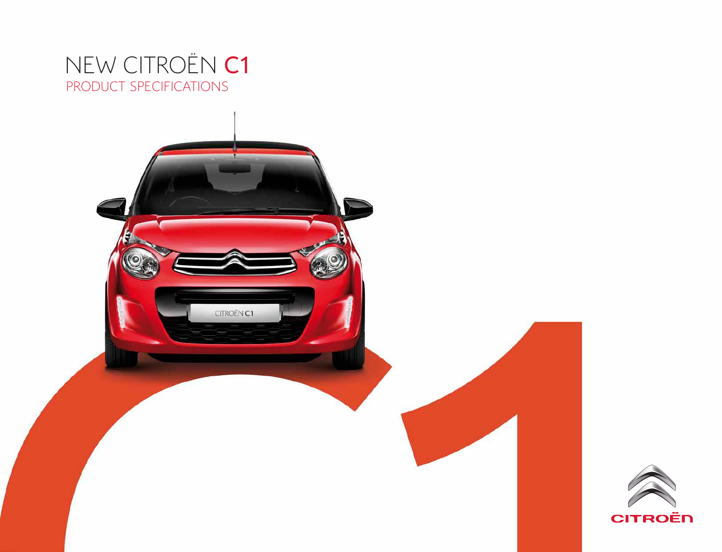# PRODUCT SPECIFICATIONS NEW CITROËN C1



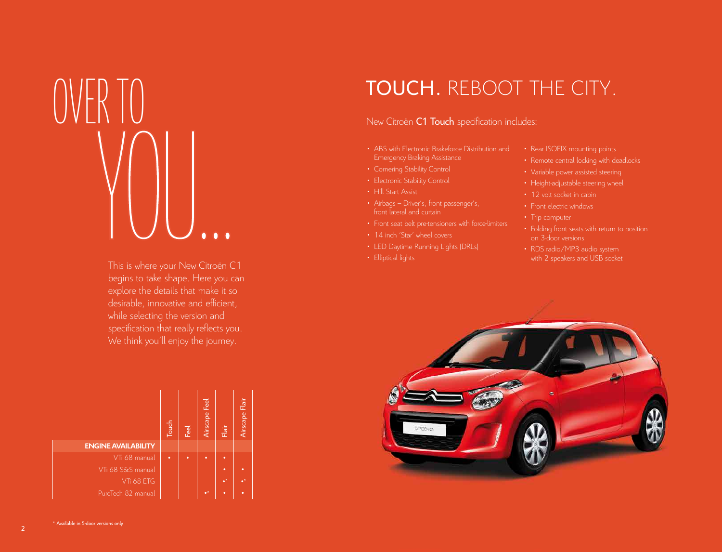

This is where your New Citroën C1 begins to take shape. Here you can explore the details that make it so desirable, innovative and efficient, while selecting the version and specification that really reflects you. We think you'll enjoy the journey.

|                            | Touch | Feel | Airscape Feel   | Flair       | Airscape Flair |
|----------------------------|-------|------|-----------------|-------------|----------------|
| <b>ENGINE AVAILABILITY</b> |       |      |                 |             |                |
| VTi 68 manual              | ٠     | ٠    | ٠               | ٠           |                |
| VTi 68 S&S manual          |       |      |                 | ٠           |                |
| VTi 68 ETG                 |       |      |                 | $\bullet^*$ |                |
| PureTech 82 manual         |       |      | $\bullet^\star$ | ٠           | ٠              |

# TOUCH. REBOOT THE CITY.

# New Citroën C1 Touch specification includes:

- ABS with Electronic Brakeforce Distribution and
- 
- Electronic Stability Control
- Hill Start Assist
- Airbags Driver's, front passenger's, front lateral and curtain
- Front seat belt pre-tensioners with force-limiters
- 14 inch 'Star' wheel covers
- LED Daytime Running Lights (DRLs)
- 
- 
- 
- Variable power assisted steering
- 
- 12 volt socket in cabin
- Front electric windows
- Trip computer
- Folding front seats with return to position on 3-door versions
- RDS radio/MP3 audio system with 2 speakers and USB socket

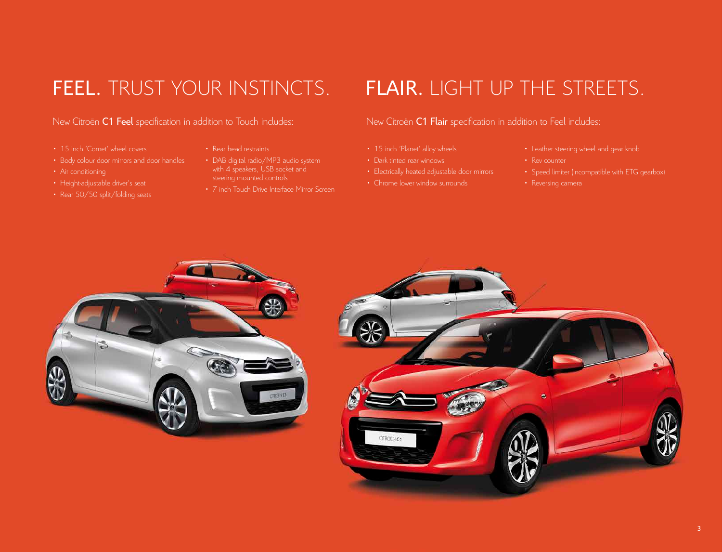# New Citroën C1 Feel specification in addition to Touch includes: New Citroën C1 Flair specification in addition to Feel includes:

- 15 inch 'Comet' wheel covers
- Body colour door mirrors and door handles
- Air conditioning
- 
- 
- Rear head restraints
- 
- 7 inch Touch Drive Interface Mirror Screen

# FEEL. TRUST YOUR INSTINCTS. FLAIR. LIGHT UP THE STREETS.

- 15 inch 'Planet' alloy wheels
- Dark tinted rear windows
- Electrically heated adjustable door mirrors
- Chrome lower window surrounds
- 
- Rev counter
- 
- 



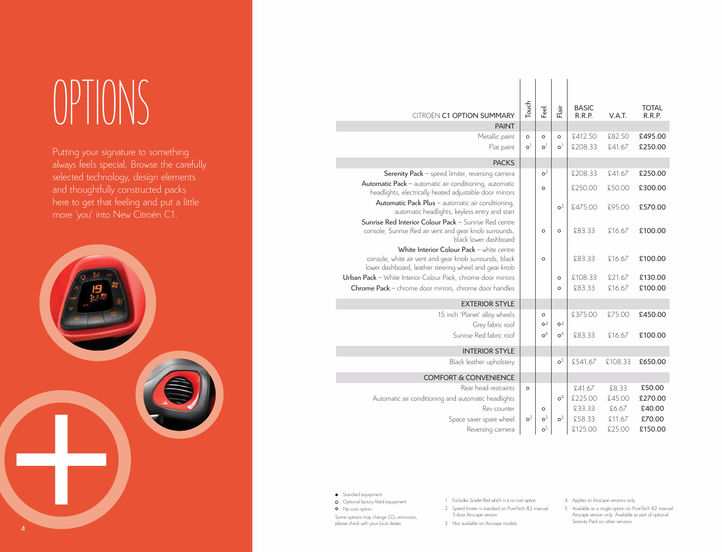# OPTIONS

Putting your signature to something always feels special. Browse the carefully selected technology, design elements and thoughtfully constructed packs here to get that feeling and put a little more 'you' into New Citroën C1.



| <b>CITROËN C1 OPTION SUMMARY</b>                                                                                                                             | Touch                | Feel                    | Flair                   | <b>BASIC</b><br>R.R.P. | V.A.T.  | <b>TOTAL</b><br>R.R.P. |
|--------------------------------------------------------------------------------------------------------------------------------------------------------------|----------------------|-------------------------|-------------------------|------------------------|---------|------------------------|
| <b>PAINT</b>                                                                                                                                                 |                      |                         |                         |                        |         |                        |
| Metallic paint                                                                                                                                               | $\circ$              | $\circ$                 | $\circ$                 | £412.50                | £82.50  | £495.00                |
| Flat paint                                                                                                                                                   | $\circ$ <sup>1</sup> | $\mathtt{o}^1$          | $\circ$ <sup>1</sup>    | £208.33                | £41.67  | £250.00                |
| <b>PACKS</b>                                                                                                                                                 |                      |                         |                         |                        |         |                        |
| Serenity Pack - speed limiter, reversing camera                                                                                                              |                      | o <sup>2</sup>          |                         | £208.33                | £41.67  | £250.00                |
| Automatic Pack - automatic air conditioning, automatic<br>headlights, electrically heated adjustable door mirrors                                            |                      | $\circ$                 |                         | £250.00                | £50.00  | £300.00                |
| Automatic Pack Plus - automatic air conditioning,<br>automatic headlights, keyless entry and start                                                           |                      |                         | o <sup>3</sup>          | £475.00                | £95.00  | £570.00                |
| Sunrise Red Interior Colour Pack - Sunrise Red centre<br>console, Sunrise Red air vent and gear knob surrounds,<br>black lower dashboard                     |                      | $\circ$                 | $\circ$                 | £83.33                 | £16.67  | £100.00                |
| White Interior Colour Pack - white centre<br>console, white air vent and gear knob surrounds, black<br>lower dashboard, leather steering wheel and gear knob |                      | $\circ$                 |                         | £83.33                 | £16.67  | £100.00                |
| <b>Urban Pack</b> - White Interior Colour Pack, chrome door mirrors                                                                                          |                      |                         | $\circ$                 | £108.33                | £21.67  | £130.00                |
| Chrome Pack - chrome door mirrors, chrome door handles                                                                                                       |                      |                         | $\circ$                 | £83.33                 | £16.67  | £100.00                |
| <b>EXTERIOR STYLE</b>                                                                                                                                        |                      |                         |                         |                        |         |                        |
| 15 inch 'Planet' alloy wheels                                                                                                                                |                      | $\circ$                 |                         | £375.00                | £75.00  | £450.00                |
| Grey fabric roof                                                                                                                                             |                      | $\diamond$ <sup>4</sup> | $\diamond$ <sup>4</sup> |                        |         |                        |
| Sunrise Red fabric roof                                                                                                                                      |                      | ${\rm o}^4$             | o <sup>4</sup>          | £83.33                 | £16.67  | £100.00                |
| <b>INTERIOR STYLE</b>                                                                                                                                        |                      |                         |                         |                        |         |                        |
| Black leather upholstery                                                                                                                                     |                      |                         | o <sup>3</sup>          | £541.67                | £108.33 | £650.00                |
| <b>COMFORT &amp; CONVENIENCE</b>                                                                                                                             |                      |                         |                         |                        |         |                        |
| Rear head restraints                                                                                                                                         | $\circ$              |                         |                         | £41.67                 | £8.33   | £50.00                 |
| Automatic air conditioning and automatic headlights                                                                                                          |                      |                         | o <sup>4</sup>          | £225.00                | £45.00  | £270.00                |
| Rev counter                                                                                                                                                  |                      | $\circ$                 |                         | £33.33                 | £6.67   | £40.00                 |
| Space saver spare wheel                                                                                                                                      | ${\rm o}^3$          | ${\rm o}^3$             | ${\rm o}^3$             | £58.33                 | £11.67  | £70.00                 |
| Reversing camera                                                                                                                                             |                      | 0 <sup>5</sup>          |                         | £125.00                | £25.00  | £150.00                |

 $1 - 1 - 1 - 1$ 

● Standard equipment **O** Optional factory fitted equipment  $\diamond$  No cost option

Some options may change CO<sub>2</sub> emissions, please check with your local dealer.

1 Excludes Scarlet Red which is a no cost option.

- 2 Speed limiter is standard on PureTech 82 manual 5-door Airscape version.
- 3 Not available on Airscape models.
- 4 Applies to Airscape versions only.
- 5 Available as a single option on PureTech 82 manual Airscape version only. Available as part of optional Serenity Pack on other versions.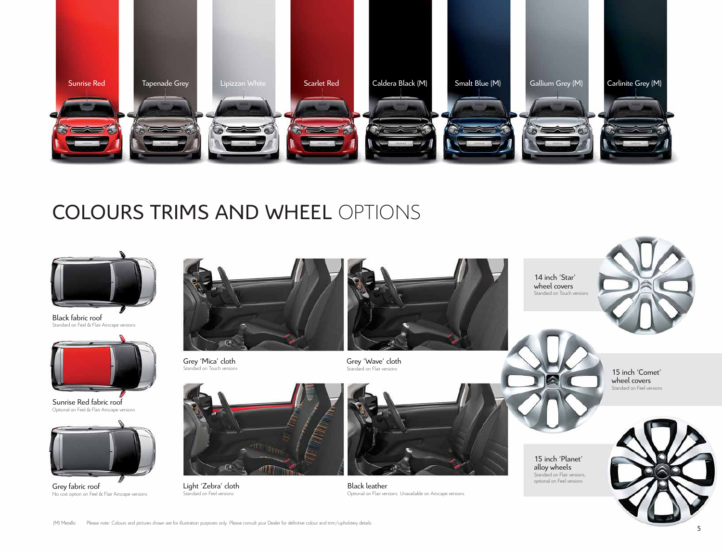

# COLOURS TRIMS AND WHEEL OPTIONS



Black fabric roof Standard on Feel & Flair Airscape versions



Sunrise Red fabric roof Optional on Feel & Flair Airscape versions



Grey fabric roof No cost option on Feel & Flair Airscape versions



Grey 'Mica' cloth Standard on Touch versions



Standard on Feel versions

Grey 'Wave' cloth Standard on Flair versions



Black leather Optional on Flair versions. Unavailable on Airscape versions. optional on Feel versions Light 'Zebra' cloth

14 inch 'Star' wheel covers Standard on Touch versions

15 inch 'Planet' alloy wheels Standard on Flair versions,<br>optional on Feel versions



15 inch 'Comet' wheel covers Standard on Feel versions

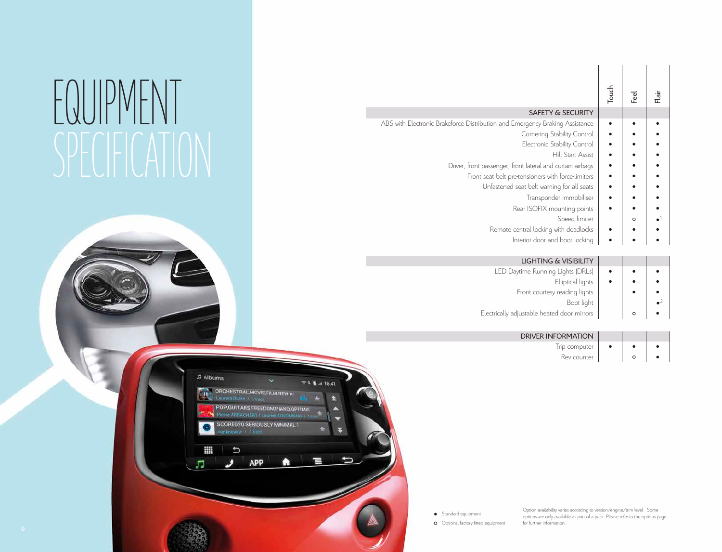# EQUIPM

|                                                                              | Touch | Feel    | in<br>⊟ |
|------------------------------------------------------------------------------|-------|---------|---------|
| <b>SAFETY &amp; SECURITY</b>                                                 |       |         |         |
| ABS with Electronic Brakeforce Distribution and Emergency Braking Assistance |       |         |         |
| Cornering Stability Control                                                  |       |         |         |
| Electronic Stability Control                                                 |       |         |         |
| <b>Hill Start Assist</b>                                                     |       |         |         |
| Driver, front passenger, front lateral and curtain airbags                   |       |         |         |
| Front seat belt pre-tensioners with force-limiters                           |       |         |         |
| Unfastened seat belt warning for all seats                                   |       |         |         |
| Transponder immobiliser                                                      |       |         |         |
| Rear ISOFIX mounting points                                                  |       |         |         |
| Speed limiter                                                                |       | $\circ$ |         |
| Remote central locking with deadlocks                                        |       |         |         |
| Interior door and boot locking                                               |       |         |         |

|             |         | <b>LIGHTING &amp; VISIBILITY</b>            |
|-------------|---------|---------------------------------------------|
|             |         | LED Daytime Running Lights (DRLs)           |
|             |         | Elliptical lights                           |
|             |         | Front courtesy reading lights               |
| $\bullet^2$ |         | Boot light                                  |
|             | $\circ$ | Electrically adjustable heated door mirrors |

DRIVER INFORMATION Trip computer  $\begin{array}{|c|c|c|c|}\n\hline\n\end{array}$   $\bullet$   $\begin{array}{|c|c|c|}\n\hline\n\end{array}$ Rev counter  $\begin{vmatrix} 0 & 1 \\ 0 & 0 \end{vmatrix}$ 



● Standard equipment

**O** Optional factory fitted equipment

Option availability varies according to version/engine/trim level. Some options are only available as part of a pack. Please refer to the options page for further information.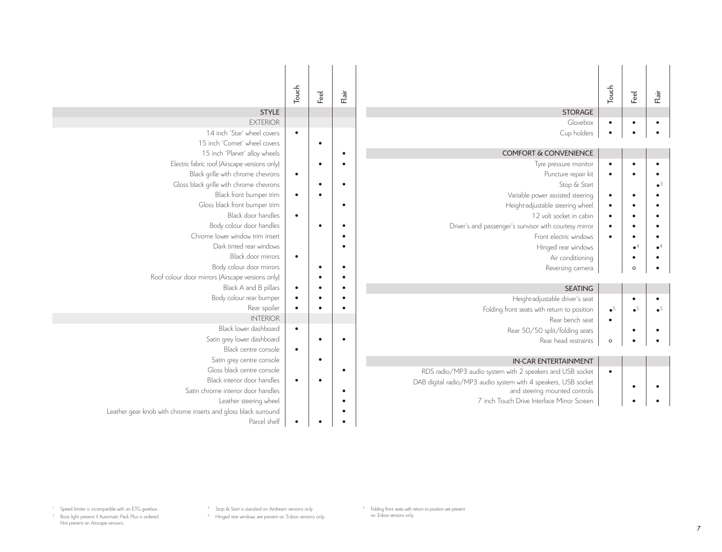| <b>STYLE</b>                                                   | Touch     | Feel      | Flair     | <b>STORAGE</b>                                                 | Touch       | Feel        | Flair       |
|----------------------------------------------------------------|-----------|-----------|-----------|----------------------------------------------------------------|-------------|-------------|-------------|
| <b>EXTERIOR</b>                                                |           |           |           | Glovebox                                                       | $\bullet$   | $\bullet$   |             |
| 14 inch 'Star' wheel covers                                    | $\bullet$ |           |           | Cup holders                                                    | $\bullet$   | $\bullet$   |             |
| 15 inch 'Comet' wheel covers                                   |           | $\bullet$ |           |                                                                |             |             |             |
| 15 inch 'Planet' alloy wheels                                  |           |           | ٠         | <b>COMFORT &amp; CONVENIENCE</b>                               |             |             |             |
| Electric fabric roof (Airscape versions only)                  |           | $\bullet$ |           | Tyre pressure monitor                                          | $\bullet$   | $\bullet$   |             |
| Black grille with chrome chevrons                              | $\bullet$ |           |           | Puncture repair kit                                            | $\bullet$   | ٠           |             |
| Gloss black grille with chrome chevrons                        |           | $\bullet$ | $\bullet$ | Stop & Start                                                   |             |             |             |
| Black front bumper trim                                        | $\bullet$ |           |           | Variable power assisted steering                               | $\bullet$   | $\bullet$   |             |
| Gloss black front bumper trim                                  |           |           | $\bullet$ | Height-adjustable steering wheel                               | $\bullet$   | $\bullet$   |             |
| Black door handles                                             | $\bullet$ |           |           | 12 volt socket in cabin                                        | $\bullet$   | $\bullet$   |             |
| Body colour door handles                                       |           | ٠         | $\bullet$ | Driver's and passenger's sunvisor with courtesy mirror         | $\bullet$   | $\bullet$   |             |
| Chrome lower window trim insert                                |           |           |           | Front electric windows                                         | $\bullet$   | $\bullet$   |             |
| Dark tinted rear windows                                       |           |           |           | Hinged rear windows                                            |             | $\bullet^4$ | $\bullet^4$ |
| Black door mirrors                                             | $\bullet$ |           |           | Air conditioning                                               |             | $\bullet$   |             |
| Body colour door mirrors                                       |           |           | $\bullet$ | Reversing camera                                               |             | $\circ$     |             |
| Roof colour door mirrors (Airscape versions only)              |           |           | $\bullet$ |                                                                |             |             |             |
| Black A and B pillars                                          | $\bullet$ |           |           | <b>SEATING</b>                                                 |             |             |             |
| Body colour rear bumper                                        | $\bullet$ | ٠         |           | Height-adjustable driver's seat                                |             |             |             |
| Rear spoiler                                                   | $\bullet$ |           |           | Folding front seats with return to position                    | $\bullet^5$ | $\bullet^5$ |             |
| <b>INTFRIOR</b>                                                |           |           |           | Rear bench seat                                                | $\bullet$   |             |             |
| Black lower dashboard                                          | $\bullet$ |           |           | Rear 50/50 split/folding seats                                 |             | $\bullet$   |             |
| Satin grey lower dashboard                                     |           | $\bullet$ | $\bullet$ | Rear head restraints                                           | $\circ$     | ٠           |             |
| Black centre console                                           | $\bullet$ |           |           |                                                                |             |             |             |
| Satin grey centre console                                      |           | $\bullet$ |           | <b>IN-CAR ENTERTAINMENT</b>                                    |             |             |             |
| Gloss black centre console                                     |           |           | $\bullet$ | RDS radio/MP3 audio system with 2 speakers and USB socket      | $\bullet$   |             |             |
| Black interior door handles                                    | $\bullet$ | ٠         |           | DAB digital radio/MP3 audio system with 4 speakers, USB socket |             | ٠           |             |
| Satin chrome interior door handles                             |           |           |           | and steering mounted controls                                  |             |             |             |
| Leather steering wheel                                         |           |           |           | 7 inch Touch Drive Interface Mirror Screen                     |             |             |             |
| Leather gear knob with chrome inserts and gloss black surround |           |           |           |                                                                |             |             |             |
| Parcel shelf                                                   | $\bullet$ |           |           |                                                                |             |             |             |

5 Folding front seats with return to position are present on 3-door versions only.

<sup>3</sup> Stop & Start is standard on Airdream versions only. 4 Hinged rear windows are present on 5-door versions only.

<sup>1</sup> Speed limiter is incompatible with an ETG gearbox. 2 Boot light present if Automatic Pack Plus is ordered. Not present on Airscape versions.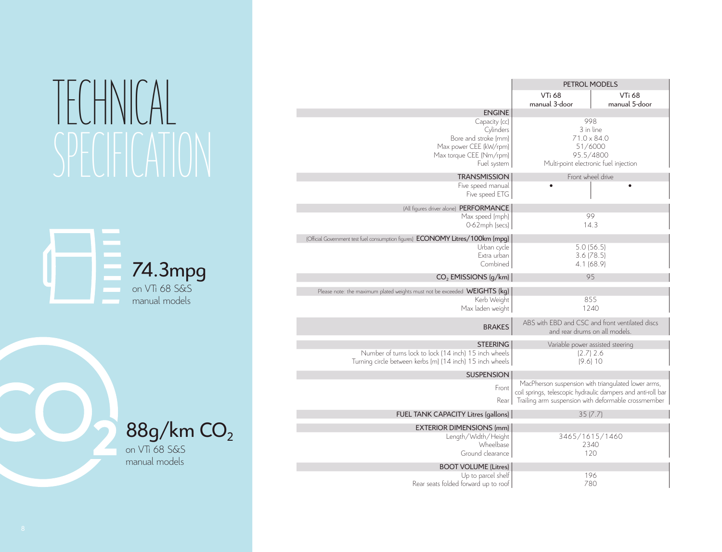# TECHNICAL SPECIFICATION





on VTi 68 S&S manual models

|                                                                                                                        | PETROL MODELS                                                                                                                                                              |                                |  |
|------------------------------------------------------------------------------------------------------------------------|----------------------------------------------------------------------------------------------------------------------------------------------------------------------------|--------------------------------|--|
|                                                                                                                        | <b>VTi 68</b><br>manual 3-door                                                                                                                                             | <b>VTi 68</b><br>manual 5-door |  |
| <b>ENGINE</b>                                                                                                          |                                                                                                                                                                            |                                |  |
| Capacity (cc)<br>Cylinders<br>Bore and stroke (mm)<br>Max power CEE (kW/rpm)<br>Max torque CEE (Nm/rpm)<br>Fuel system | 998<br>3 in line<br>$71.0 \times 84.0$<br>51/6000<br>95.5/4800<br>Multi-point electronic fuel injection                                                                    |                                |  |
| <b>TRANSMISSION</b>                                                                                                    | Front wheel drive                                                                                                                                                          |                                |  |
| Five speed manual<br>Five speed ETG                                                                                    |                                                                                                                                                                            |                                |  |
| (All figures driver alone) PERFORMANCE                                                                                 |                                                                                                                                                                            |                                |  |
| Max speed (mph)<br>0-62mph (secs)                                                                                      | 99<br>14.3                                                                                                                                                                 |                                |  |
| (Official Government test fuel consumption figures) ECONOMY Litres/100km (mpg)                                         |                                                                                                                                                                            |                                |  |
| Urban cycle                                                                                                            | 5.0(56.5)                                                                                                                                                                  |                                |  |
| Extra urban                                                                                                            | $3.6$ ( $78.5$ )                                                                                                                                                           |                                |  |
| Combined                                                                                                               | 4.1 (68.9)                                                                                                                                                                 |                                |  |
| $CO2$ EMISSIONS ( $q/km$ )                                                                                             | 95                                                                                                                                                                         |                                |  |
| Please note: the maximum plated weights must not be exceeded WEIGHTS (kg)                                              |                                                                                                                                                                            |                                |  |
| Kerb Weight                                                                                                            | 855                                                                                                                                                                        |                                |  |
| Max laden weight                                                                                                       | 1240                                                                                                                                                                       |                                |  |
| <b>BRAKES</b>                                                                                                          | ABS with EBD and CSC and front ventilated discs<br>and rear drums on all models.                                                                                           |                                |  |
| <b>STEERING</b>                                                                                                        | Variable power assisted steering                                                                                                                                           |                                |  |
| Number of turns lock to lock (14 inch) 15 inch wheels<br>Turning circle between kerbs (m) (14 inch) 15 inch wheels     | $(2.7)$ 2.6<br>(9.6)10                                                                                                                                                     |                                |  |
| <b>SUSPENSION</b>                                                                                                      |                                                                                                                                                                            |                                |  |
| Front<br>Rear                                                                                                          | MacPherson suspension with triangulated lower arms,<br>coil springs, telescopic hydraulic dampers and anti-roll bar<br>Trailing arm suspension with deformable crossmember |                                |  |
| FUEL TANK CAPACITY Litres (gallons)                                                                                    | 35(7.7)                                                                                                                                                                    |                                |  |
| <b>EXTERIOR DIMENSIONS (mm)</b>                                                                                        |                                                                                                                                                                            |                                |  |
| Length/Width/Height                                                                                                    | 3465/1615/1460                                                                                                                                                             |                                |  |
| Wheelbase                                                                                                              | 2340                                                                                                                                                                       |                                |  |
| Ground clearance                                                                                                       | 120                                                                                                                                                                        |                                |  |
| <b>BOOT VOLUME (Litres)</b>                                                                                            |                                                                                                                                                                            |                                |  |
| Up to parcel shelf                                                                                                     | 196<br>780                                                                                                                                                                 |                                |  |
| Rear seats folded forward up to roof                                                                                   |                                                                                                                                                                            |                                |  |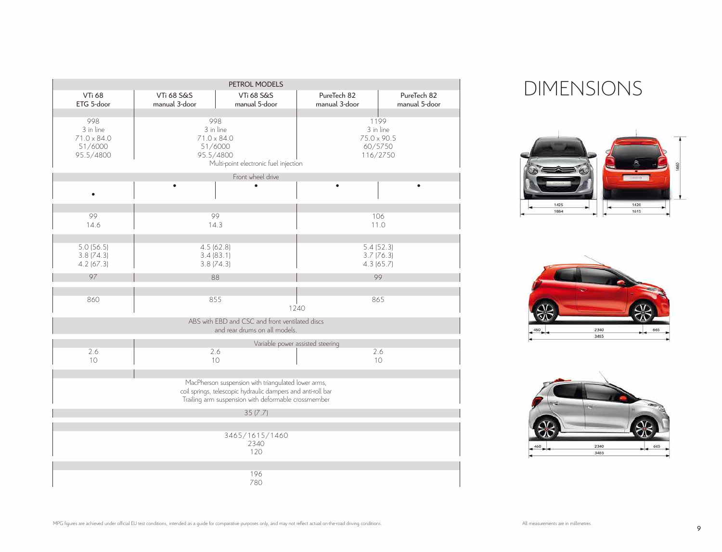| PETROL MODELS                                                  |                                        |                                                                                                                                                                            |                                                   |                              |  |  |  |  |
|----------------------------------------------------------------|----------------------------------------|----------------------------------------------------------------------------------------------------------------------------------------------------------------------------|---------------------------------------------------|------------------------------|--|--|--|--|
| <b>VTi 68</b><br>ETG 5-door                                    | <b>VTi 68 S&amp;S</b><br>manual 3-door | <b>VTi 68 S&amp;S</b><br>manual 5-door                                                                                                                                     | PureTech 82<br>manual 3-door                      | PureTech 82<br>manual 5-door |  |  |  |  |
| 998<br>3 in line<br>$71.0 \times 84.0$<br>51/6000<br>95.5/4800 | 998<br>95.5/4800                       | 3 in line<br>$71.0 \times 84.0$<br>51/6000<br>Multi-point electronic fuel injection                                                                                        | 1199<br>$75.0 \times 90.5$<br>60/5750<br>116/2750 | 3 in line                    |  |  |  |  |
|                                                                |                                        | Front wheel drive                                                                                                                                                          |                                                   |                              |  |  |  |  |
|                                                                |                                        |                                                                                                                                                                            |                                                   |                              |  |  |  |  |
|                                                                |                                        |                                                                                                                                                                            |                                                   |                              |  |  |  |  |
| 99<br>14.6                                                     | 99<br>14.3                             |                                                                                                                                                                            | 106                                               | 11.0                         |  |  |  |  |
| 5.0(56.5)<br>$3.8$ (74.3)<br>$4.2$ (67.3)                      | 4.5(62.8)<br>3.4(83.1)<br>3.8(74.3)    |                                                                                                                                                                            | $3.7$ (76.3)<br>4.3(65.7)                         | 5.4(52.3)                    |  |  |  |  |
| 97                                                             | 88                                     |                                                                                                                                                                            |                                                   | 99                           |  |  |  |  |
| 860                                                            | 855                                    |                                                                                                                                                                            | 865<br>1240                                       |                              |  |  |  |  |
|                                                                |                                        | ABS with EBD and CSC and front ventilated discs<br>and rear drums on all models.                                                                                           |                                                   |                              |  |  |  |  |
|                                                                |                                        |                                                                                                                                                                            | Variable power assisted steering                  |                              |  |  |  |  |
| 2.6<br>10                                                      | 2.6<br>10                              |                                                                                                                                                                            | 2.6<br>10                                         |                              |  |  |  |  |
|                                                                |                                        | MacPherson suspension with triangulated lower arms,<br>coil springs, telescopic hydraulic dampers and anti-roll bar<br>Trailing arm suspension with deformable crossmember |                                                   |                              |  |  |  |  |
|                                                                |                                        | 35(7.7)                                                                                                                                                                    |                                                   |                              |  |  |  |  |
|                                                                |                                        | 3465/1615/1460<br>2340<br>120                                                                                                                                              |                                                   |                              |  |  |  |  |
|                                                                |                                        | 196<br>780                                                                                                                                                                 |                                                   |                              |  |  |  |  |

# DIMENSIONS





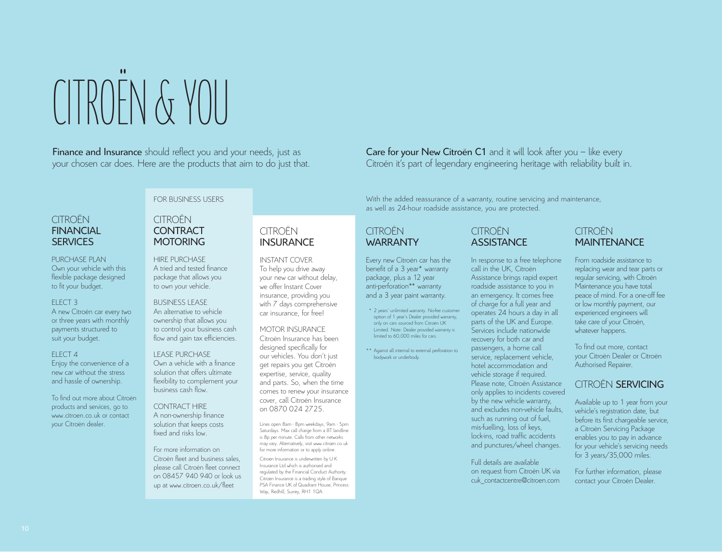CITROËN & YOU

Finance and Insurance should reflect you and your needs, just as your chosen car does. Here are the products that aim to do just that.

# CITROËN **FINANCIAL SERVICES**

PURCHASE PLAN Own your vehicle with this flexible package designed to fit your budget.

# ELECT 3

A new Citroën car every two or three years with monthly payments structured to suit your budget.

#### ELECT 4

Enjoy the convenience of a new car without the stress and hassle of ownership.

To find out more about Citroën products and services, go to www.citroen.co.uk or contact your Citroën dealer.

# FOR BUSINESS USERS

# CITROËN **CONTRACT MOTORING**

HIRE PURCHASE A tried and tested finance package that allows you to own your vehicle.

## BUSINESS LEASE

An alternative to vehicle ownership that allows you to control your business cash flow and gain tax efficiencies.

#### LEASE PURCHASE Own a vehicle with a finance solution that offers ultimate flexibility to complement your business cash flow.

CONTRACT HIRE A non-ownership finance solution that keeps costs fixed and risks low.

For more information on Citroën fleet and business sales, please call Citroën fleet connect on 08457 940 940 or look us up at www.citroen.co.uk/fleet

# **CITROËN** INSURANCE

INSTANT COVER To help you drive away your new car without delay, we offer Instant Cover insurance, providing you with 7 days comprehensive car insurance, for free!

## MOTOR INSURANCE

Citroën Insurance has been designed specifically for our vehicles. You don't just get repairs you get Citroën expertise, service, quality and parts. So, when the time comes to renew your insurance cover, call Citroën Insurance on 0870 024 2725.

Lines open 8am - 8pm weekdays, 9am - 5pm Saturdays. Max call charge from a BT landline is 8p per minute. Calls from other networks may vary. Alternatively, visit www.citroen.co.uk for more information or to apply online.

Citroën Insurance is underwritten by U K Insurance Ltd which is authorised and regulated by the Financial Conduct Authority. Citroën Insurance is a trading style of Banque PSA Finance UK of Quadrant House, Princess Way, Redhill, Surrey, RH1 1QA.

# Care for your New Citroën C1 and it will look after you – like every Citroën it's part of legendary engineering heritage with reliability built in.

With the added reassurance of a warranty, routine servicing and maintenance, as well as 24-hour roadside assistance, you are protected.

# **CITROËN WARRANTY**

Every new Citroën car has the benefit of a 3 year\* warranty package, plus a 12 year anti-perforation\*\* warranty and a 3 year paint warranty.

- \* 2 years' unlimited warranty. No-fee customer option of 1 year's Dealer provided warranty, only on cars sourced from Citroën UK Limited. Note: Dealer provided warranty is limited to 60,000 miles for cars.
- \*\* Against all internal to external perforation to bodywork or underbody.

CITROËN **ASSISTANCE** 

In response to a free telephone call in the UK, Citroën Assistance brings rapid expert roadside assistance to you in an emergency. It comes free of charge for a full year and operates 24 hours a day in all parts of the UK and Europe. Services include nationwide recovery for both car and passengers, a home call service, replacement vehicle, hotel accommodation and vehicle storage if required. Please note, Citroën Assistance only applies to incidents covered by the new vehicle warranty, and excludes non-vehicle faults, such as running out of fuel, mis-fuelling, loss of keys, lock-ins, road traffic accidents and punctures/wheel changes.

Full details are available on request from Citroën UK via cuk\_contactcentre@citroen.com

# **CITROËN MAINTENANCE**

From roadside assistance to replacing wear and tear parts or regular servicing, with Citroën Maintenance you have total peace of mind. For a one-off fee or low monthly payment, our experienced engineers will take care of your Citroën, whatever happens.

To find out more, contact your Citroën Dealer or Citroën Authorised Repairer.

# CITROËN SERVICING

Available up to 1 year from your vehicle's registration date, but before its first chargeable service, a Citroën Servicing Package enables you to pay in advance for your vehicle's servicing needs for 3 years/35,000 miles.

For further information, please contact your Citroën Dealer.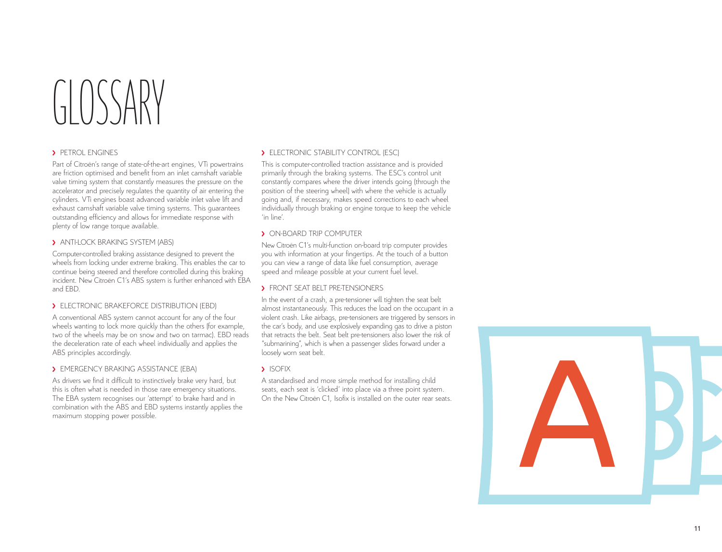# $\left( \begin{array}{c} \begin{array}{c} \end{array} \end{array} \right)$

# **> PETROL ENGINES**

Part of Citroën's range of state-of-the-art engines, VTi powertrains are friction optimised and benefit from an inlet camshaft variable valve timing system that constantly measures the pressure on the accelerator and precisely regulates the quantity of air entering the cylinders. VTi engines boast advanced variable inlet valve lift and exhaust camshaft variable valve timing systems. This guarantees outstanding efficiency and allows for immediate response with plenty of low range torque available.

# > ANTI-LOCK BRAKING SYSTEM (ABS)

Computer-controlled braking assistance designed to prevent the wheels from locking under extreme braking. This enables the car to continue being steered and therefore controlled during this braking incident. New Citroën C1's ABS system is further enhanced with EBA and EBD.

## **ELECTRONIC BRAKEFORCE DISTRIBUTION (FBD)**

A conventional ABS system cannot account for any of the four wheels wanting to lock more quickly than the others (for example, two of the wheels may be on snow and two on tarmac). EBD reads the deceleration rate of each wheel individually and applies the ABS principles accordingly.

## **EMERGENCY BRAKING ASSISTANCE (FBA)**

As drivers we find it difficult to instinctively brake very hard, but this is often what is needed in those rare emergency situations. The EBA system recognises our 'attempt' to brake hard and in combination with the ABS and EBD systems instantly applies the maximum stopping power possible.

# > ELECTRONIC STABILITY CONTROL (ESC)

This is computer-controlled traction assistance and is provided primarily through the braking systems. The ESC's control unit constantly compares where the driver intends going (through the position of the steering wheel) with where the vehicle is actually going and, if necessary, makes speed corrections to each wheel individually through braking or engine torque to keep the vehicle 'in line'.

# **> ON-BOARD TRIP COMPUTER**

New Citroën C1's multi-function on-board trip computer provides you with information at your fingertips. At the touch of a button you can view a range of data like fuel consumption, average speed and mileage possible at your current fuel level.

## **> FRONT SEAT BELT PRE-TENSIONERS**

In the event of a crash, a pre-tensioner will tighten the seat belt almost instantaneously. This reduces the load on the occupant in a violent crash. Like airbags, pre-tensioners are triggered by sensors in the car's body, and use explosively expanding gas to drive a piston that retracts the belt. Seat belt pre-tensioners also lower the risk of "submarining", which is when a passenger slides forward under a loosely worn seat belt.

## **> ISOFIX**

A standardised and more simple method for installing child seats, each seat is 'clicked' into place via a three point system. On the New Citroën C1, Isofix is installed on the outer rear seats.